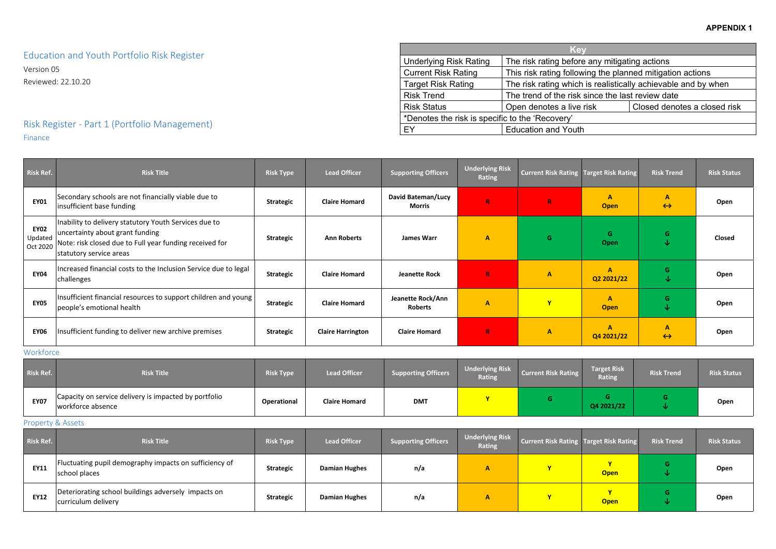| any mitigating actions                  |                           |  |  |  |  |  |  |
|-----------------------------------------|---------------------------|--|--|--|--|--|--|
| ng the planned mitigation actions       |                           |  |  |  |  |  |  |
| is realistically achievable and by when |                           |  |  |  |  |  |  |
|                                         | ince the last review date |  |  |  |  |  |  |
| Closed denotes a closed risk<br>isk     |                           |  |  |  |  |  |  |
|                                         |                           |  |  |  |  |  |  |

Education and Youth Portfolio Risk Register

Version 05 Reviewed: 22.10.20

## Risk Register - Part 1 (Portfolio Management) Finance

| Risk Ref.                          | <b>Risk Title</b>                                                                                                                                                              | <b>Risk Type</b> | <b>Lead Officer</b>      | <b>Supporting Officers</b>                 | <b>Underlying Risk</b><br>Rating | <b>Current Risk Rating   Target Risk Rating</b> |                             | <b>Risk Trend</b>                 | <b>Risk Status</b> |
|------------------------------------|--------------------------------------------------------------------------------------------------------------------------------------------------------------------------------|------------------|--------------------------|--------------------------------------------|----------------------------------|-------------------------------------------------|-----------------------------|-----------------------------------|--------------------|
| <b>EY01</b>                        | Secondary schools are not financially viable due to<br>insufficient base funding                                                                                               | <b>Strategic</b> | <b>Claire Homard</b>     | <b>David Bateman/Lucy</b><br><b>Morris</b> | $\mathbb{R}$                     | $\mathbf R$                                     | $\mathbf{A}$<br><b>Open</b> | $\mathbf{A}$<br>$\leftrightarrow$ | Open               |
| <b>EY02</b><br>Updated<br>Oct 2020 | Inability to delivery statutory Youth Services due to<br>uncertainty about grant funding<br>Note: risk closed due to Full year funding received for<br>statutory service areas | <b>Strategic</b> | <b>Ann Roberts</b>       | <b>James Warr</b>                          | $\mathbf{A}$                     | G.                                              | G<br>Open                   | G.<br>V                           | Closed             |
| <b>EY04</b>                        | Increased financial costs to the Inclusion Service due to legal<br>challenges                                                                                                  | Strategic        | <b>Claire Homard</b>     | <b>Jeanette Rock</b>                       | $\mathbb{R}$                     | A                                               | $\mathbf{A}$<br>Q2 2021/22  | G<br>↓                            | Open               |
| <b>EY05</b>                        | Insufficient financial resources to support children and young<br>people's emotional health                                                                                    | <b>Strategic</b> | <b>Claire Homard</b>     | Jeanette Rock/Ann<br><b>Roberts</b>        | $\mathbf{A}$                     | $\mathbf{Y}$                                    | A<br><b>Open</b>            | G.<br>∿                           | Open               |
| <b>EY06</b>                        | Insufficient funding to deliver new archive premises                                                                                                                           | <b>Strategic</b> | <b>Claire Harrington</b> | <b>Claire Homard</b>                       | $\mathbb{R}$                     | $\mathbf{A}$                                    | A<br>Q4 2021/22             | A<br>$\leftrightarrow$            | Open               |

Workforce

| Risk Ref.   | <b>Risk Title</b>                                                          | <b>Risk Type</b>   | <b>Lead Officer</b>  | <b>Supporting Officers</b> | <b>Underlying Risk</b><br><b>Rating</b> | <b>Current Risk Rating</b> | Target Risk<br>Rating | <b>Risk Trend</b> | <b>Risk Status</b> |
|-------------|----------------------------------------------------------------------------|--------------------|----------------------|----------------------------|-----------------------------------------|----------------------------|-----------------------|-------------------|--------------------|
| <b>EY07</b> | Capacity on service delivery is impacted by portfolio<br>workforce absence | <b>Operational</b> | <b>Claire Homard</b> | <b>DMT</b>                 |                                         |                            | Q4 2021/22            |                   | Open               |

### Property & Assets

| Risk Ref.   | <b>Risk Title</b>                                                          | <b>Risk Type</b> | <b>Lead Officer</b>  | <b>Supporting Officers</b> | <b>Underlying Risk</b><br><b>Rating</b> | Current Risk Rating Target Risk Rating |             | <b>Risk Trend</b> | <b>Risk Status</b> |
|-------------|----------------------------------------------------------------------------|------------------|----------------------|----------------------------|-----------------------------------------|----------------------------------------|-------------|-------------------|--------------------|
| <b>EY11</b> | Fluctuating pupil demography impacts on sufficiency of<br>school places    | <b>Strategic</b> | <b>Damian Hughes</b> | n/a                        |                                         |                                        | <b>Open</b> |                   | Open               |
| <b>EY12</b> | Deteriorating school buildings adversely impacts on<br>curriculum delivery | <b>Strategic</b> | <b>Damian Hughes</b> | n/a                        |                                         | $\mathbf{v}$                           | <b>Open</b> |                   | Open               |

|                                                                                            | <b>Key</b>                                                |                              |  |  |  |  |
|--------------------------------------------------------------------------------------------|-----------------------------------------------------------|------------------------------|--|--|--|--|
| <b>Underlying Risk Rating</b>                                                              | The risk rating before any mitigating actions             |                              |  |  |  |  |
| <b>Current Risk Rating</b>                                                                 | This risk rating following the planned mitigation actions |                              |  |  |  |  |
| The risk rating which is realistically achievable and by when<br><b>Target Risk Rating</b> |                                                           |                              |  |  |  |  |
| <b>Risk Trend</b>                                                                          | The trend of the risk since the last review date          |                              |  |  |  |  |
| <b>Risk Status</b>                                                                         | Open denotes a live risk                                  | Closed denotes a closed risk |  |  |  |  |
| *Denotes the risk is specific to the 'Recovery'                                            |                                                           |                              |  |  |  |  |
| EY                                                                                         | <b>Education and Youth</b>                                |                              |  |  |  |  |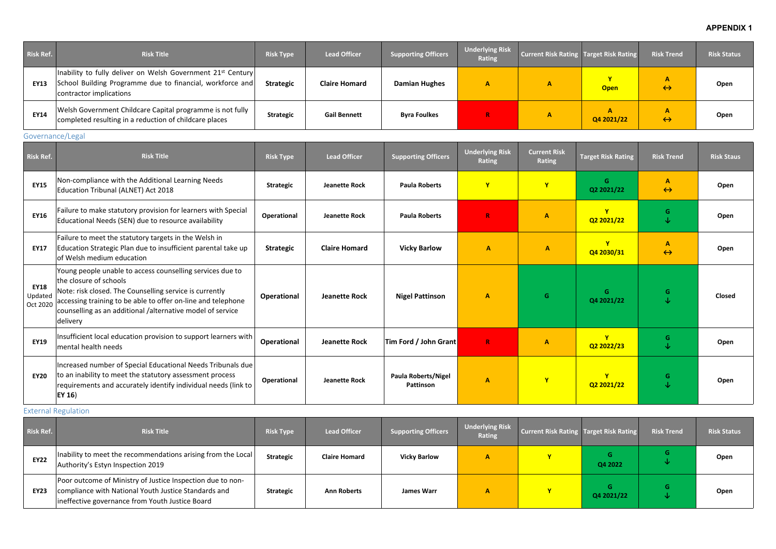### **APPENDIX 1**

| <b>Risk Ref.</b> | <b>Risk Title</b>                                                                                                                                               | <b>Risk Type</b> | <b>Lead Officer</b>  | <b>Supporting Officers</b> | <b>Underlying Risk</b><br><b>Rating</b> | Current Risk Rating Target Risk Rating |                            | <b>Risk Trend</b> | <b>Risk Status</b> |
|------------------|-----------------------------------------------------------------------------------------------------------------------------------------------------------------|------------------|----------------------|----------------------------|-----------------------------------------|----------------------------------------|----------------------------|-------------------|--------------------|
| <b>EY13</b>      | Inability to fully deliver on Welsh Government 21 <sup>st</sup> Century<br>School Building Programme due to financial, workforce and<br>contractor implications | <b>Strategic</b> | <b>Claire Homard</b> | <b>Damian Hughes</b>       | A                                       |                                        | $\mathbf v$<br><b>Open</b> | $\leftrightarrow$ | Open               |
| <b>EY14</b>      | Welsh Government Childcare Capital programme is not fully<br>completed resulting in a reduction of childcare places                                             | <b>Strategic</b> | <b>Gail Bennett</b>  | <b>Byra Foulkes</b>        |                                         |                                        | Q4 2021/22                 | $\leftrightarrow$ | Open               |

### Governance/Legal

| <b>Risk Ref.</b>                   | <b>Risk Title</b>                                                                                                                                                                                                                                                                        | <b>Risk Type</b>   | <b>Lead Officer</b>  | <b>Supporting Officers</b>              | <b>Underlying Risk</b><br><b>Rating</b> | <b>Current Risk</b><br>Rating | <b>Target Risk Rating</b> | <b>Risk Trend</b>      | <b>Risk Staus</b> |
|------------------------------------|------------------------------------------------------------------------------------------------------------------------------------------------------------------------------------------------------------------------------------------------------------------------------------------|--------------------|----------------------|-----------------------------------------|-----------------------------------------|-------------------------------|---------------------------|------------------------|-------------------|
| <b>EY15</b>                        | Non-compliance with the Additional Learning Needs<br>Education Tribunal (ALNET) Act 2018                                                                                                                                                                                                 | <b>Strategic</b>   | <b>Jeanette Rock</b> | <b>Paula Roberts</b>                    | $\mathbf{Y}$                            | $\mathbf{v}$                  | G<br>Q2 2021/22           | A<br>$\leftrightarrow$ | Open              |
| <b>EY16</b>                        | Failure to make statutory provision for learners with Special<br>Educational Needs (SEN) due to resource availability                                                                                                                                                                    | <b>Operational</b> | <b>Jeanette Rock</b> | <b>Paula Roberts</b>                    | R                                       | $\mathbf{A}$                  | $\mathbf v$<br>Q2 2021/22 | G.<br>$\downarrow$     | Open              |
| <b>EY17</b>                        | Failure to meet the statutory targets in the Welsh in<br>Education Strategic Plan due to insufficient parental take up<br>of Welsh medium education                                                                                                                                      | <b>Strategic</b>   | <b>Claire Homard</b> | <b>Vicky Barlow</b>                     | $\mathbf{A}$                            | $\mathbf{A}$                  | Q4 2030/31                | A<br>$\leftrightarrow$ | Open              |
| <b>EY18</b><br>Updated<br>Oct 2020 | Young people unable to access counselling services due to<br>the closure of schools<br>Note: risk closed. The Counselling service is currently<br>accessing training to be able to offer on-line and telephone<br>counselling as an additional /alternative model of service<br>delivery | Operational        | <b>Jeanette Rock</b> | <b>Nigel Pattinson</b>                  | $\mathbf{A}$                            | G                             | G<br>Q4 2021/22           | G.                     | <b>Closed</b>     |
| <b>EY19</b>                        | Insufficient local education provision to support learners with<br>mental health needs                                                                                                                                                                                                   | <b>Operational</b> | <b>Jeanette Rock</b> | Tim Ford / John Grant                   | $\mathbf R$                             | $\mathbf{A}$                  | $\mathbf v$<br>Q2 2022/23 | G.<br>↓                | Open              |
| <b>EY20</b>                        | Increased number of Special Educational Needs Tribunals due<br>to an inability to meet the statutory assessment process<br>requirements and accurately identify individual needs (link to<br>$ $ EY 16)                                                                                  | Operational        | <b>Jeanette Rock</b> | <b>Paula Roberts/Nigel</b><br>Pattinson | $\mathbf{A}$                            | $\mathbf{Y}$                  | $\mathbf v$<br>Q2 2021/22 | G.<br>↓                | <b>Open</b>       |

#### External Regulation

| Risk Ref.   | <b>Risk Title</b>                                                                                                                                                     | <b>Risk Type</b> | <b>Lead Officer</b>  | Supporting Officers | <b>Underlying Risk</b><br><b>Rating</b> | Current Risk Rating Target Risk Rating |                 | <b>Risk Trend</b> | <b>Risk Status</b> |
|-------------|-----------------------------------------------------------------------------------------------------------------------------------------------------------------------|------------------|----------------------|---------------------|-----------------------------------------|----------------------------------------|-----------------|-------------------|--------------------|
| <b>EY22</b> | Inability to meet the recommendations arising from the Local<br>Authority's Estyn Inspection 2019                                                                     | <b>Strategic</b> | <b>Claire Homard</b> | <b>Vicky Barlow</b> |                                         |                                        | G<br>Q4 2022    |                   | Open               |
| <b>EY23</b> | Poor outcome of Ministry of Justice Inspection due to non-<br>compliance with National Youth Justice Standards and<br>ineffective governance from Youth Justice Board | <b>Strategic</b> | <b>Ann Roberts</b>   | <b>James Warr</b>   | А                                       |                                        | G<br>Q4 2021/22 | G<br>ste.         | Open               |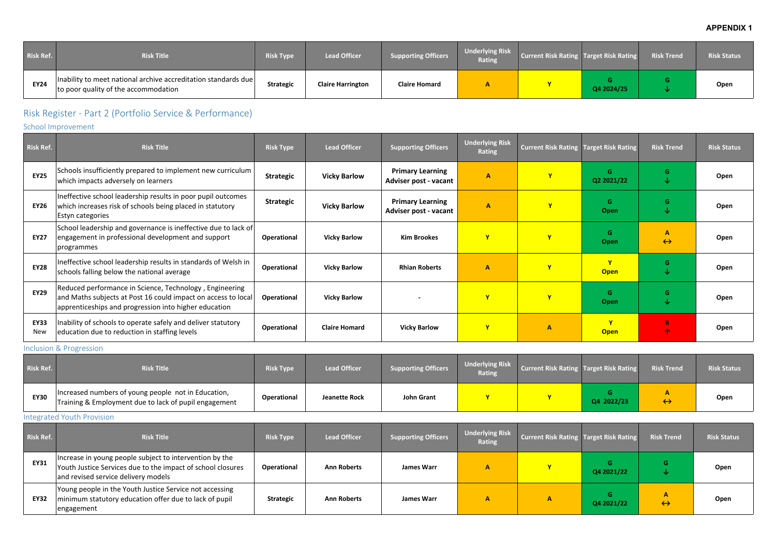### **APPENDIX 1**

| Risk Ref.   | <b>Risk Title</b>                                                                                      | <b>Risk Type</b> | <b>Lead Officer</b>      | Supporting Officers  | <b>Underlying Risk</b><br><b>Rating</b> | Current Risk Rating Target Risk Rating |            | <b>Risk Trend</b> | <b>Risk Status</b> |
|-------------|--------------------------------------------------------------------------------------------------------|------------------|--------------------------|----------------------|-----------------------------------------|----------------------------------------|------------|-------------------|--------------------|
| <b>EY24</b> | Inability to meet national archive accreditation standards due<br>to poor quality of the accommodation | <b>Strategic</b> | <b>Claire Harrington</b> | <b>Claire Homard</b> |                                         |                                        | Q4 2024/25 |                   | Open               |

# Risk Register - Part 2 (Portfolio Service & Performance)

### School Improvement

| <b>Risk Ref.</b>          | <b>Risk Title</b>                                                                                                                                                                 | <b>Risk Type</b> | <b>Lead Officer</b>  | <b>Supporting Officers</b>                       | <b>Underlying Risk</b><br><b>Rating</b> | <b>Current Risk Rating Target Risk Rating</b> |                             | <b>Risk Trend</b>      | <b>Risk Status</b> |
|---------------------------|-----------------------------------------------------------------------------------------------------------------------------------------------------------------------------------|------------------|----------------------|--------------------------------------------------|-----------------------------------------|-----------------------------------------------|-----------------------------|------------------------|--------------------|
| <b>EY25</b>               | Schools insufficiently prepared to implement new curriculum<br>which impacts adversely on learners                                                                                | <b>Strategic</b> | <b>Vicky Barlow</b>  | <b>Primary Learning</b><br>Adviser post - vacant | $\overline{A}$                          |                                               | G<br>Q2 2021/22             | G.<br>↓                | Open               |
| <b>EY26</b>               | Ineffective school leadership results in poor pupil outcomes<br>which increases risk of schools being placed in statutory<br>Estyn categories                                     | <b>Strategic</b> | <b>Vicky Barlow</b>  | <b>Primary Learning</b><br>Adviser post - vacant | A                                       |                                               | G<br><b>Open</b>            | G.<br>↓                | Open               |
| <b>EY27</b>               | School leadership and governance is ineffective due to lack of<br>engagement in professional development and support<br>programmes                                                | Operational      | <b>Vicky Barlow</b>  | <b>Kim Brookes</b>                               | Y                                       |                                               | G<br>Open                   | A<br>$\leftrightarrow$ | Open               |
| <b>EY28</b>               | Ineffective school leadership results in standards of Welsh in<br>schools falling below the national average                                                                      | Operational      | <b>Vicky Barlow</b>  | <b>Rhian Roberts</b>                             | $\mathbf{A}$                            |                                               | $\mathbf{v}$<br><b>Open</b> | G.<br>V                | Open               |
| <b>EY29</b>               | Reduced performance in Science, Technology, Engineering<br>and Maths subjects at Post 16 could impact on access to local<br>apprenticeships and progression into higher education | Operational      | <b>Vicky Barlow</b>  | $\overline{\phantom{a}}$                         | Y                                       |                                               | G<br>Open                   | G.<br>↓                | Open               |
| <b>EY33</b><br><b>New</b> | Inability of schools to operate safely and deliver statutory<br>education due to reduction in staffing levels                                                                     | Operational      | <b>Claire Homard</b> | <b>Vicky Barlow</b>                              | $\mathbf{Y}$                            | Α                                             | $\mathbf{v}$<br><b>Open</b> | $\mathsf R$<br>个       | Open               |

### Inclusion & Progression

| Risk Ref.   | <b>Risk Title</b>                                                                                            | <b>Risk Type</b>   | <b>Lead Officer</b>  | Supporting Officers | <b>Underlying Risk</b><br><b>Rating</b> | Current Risk Rating Target Risk Rating |            | <b>Risk Trend</b> | <b>Risk Status</b> |
|-------------|--------------------------------------------------------------------------------------------------------------|--------------------|----------------------|---------------------|-----------------------------------------|----------------------------------------|------------|-------------------|--------------------|
| <b>EY30</b> | Increased numbers of young people not in Education,<br>Training & Employment due to lack of pupil engagement | <b>Operational</b> | <b>Jeanette Rock</b> | John Grant          |                                         |                                        | Q4 2022/23 | $\leftrightarrow$ | Open               |

#### Integrated Youth Provision

| Risk Ref.   | <b>Risk Title</b>                                                                                                                                             | <b>Risk Type</b>   | <b>Lead Officer</b> | <b>Supporting Officers</b> | <b>Underlying Risk</b><br><b>Rating</b> | <b>Current Risk Rating Target Risk Rating</b> |                  | <b>Risk Trend</b> | <b>Risk Status</b> |
|-------------|---------------------------------------------------------------------------------------------------------------------------------------------------------------|--------------------|---------------------|----------------------------|-----------------------------------------|-----------------------------------------------|------------------|-------------------|--------------------|
| <b>EY31</b> | Increase in young people subject to intervention by the<br>Youth Justice Services due to the impact of school closures<br>and revised service delivery models | <b>Operational</b> | <b>Ann Roberts</b>  | James Warr                 |                                         | $\mathbf{v}$                                  | G.<br>Q4 2021/22 | G.                | Open               |
| <b>EY32</b> | Young people in the Youth Justice Service not accessing<br>minimum statutory education offer due to lack of pupil<br>engagement                               | <b>Strategic</b>   | <b>Ann Roberts</b>  | James Warr                 |                                         |                                               | Q4 2021/22       | $\leftrightarrow$ | Open               |